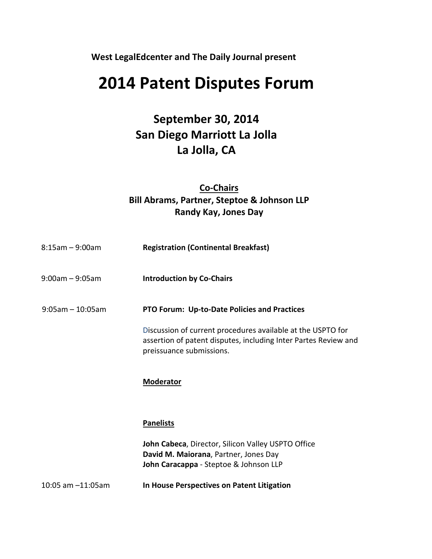**West LegalEdcenter and The Daily Journal present**

# **2014 Patent Disputes Forum**

# **September 30, 2014 San Diego Marriott La Jolla La Jolla, CA**

## **Co-Chairs Bill Abrams, Partner, Steptoe & Johnson LLP Randy Kay, Jones Day**

| $8:15$ am - 9:00am    | <b>Registration (Continental Breakfast)</b>                                                                                                                |
|-----------------------|------------------------------------------------------------------------------------------------------------------------------------------------------------|
| $9:00$ am - $9:05$ am | <b>Introduction by Co-Chairs</b>                                                                                                                           |
| $9:05$ am - 10:05am   | PTO Forum: Up-to-Date Policies and Practices                                                                                                               |
|                       | Discussion of current procedures available at the USPTO for<br>assertion of patent disputes, including Inter Partes Review and<br>preissuance submissions. |
|                       | <b>Moderator</b>                                                                                                                                           |
|                       | <b>Panelists</b>                                                                                                                                           |
|                       | John Cabeca, Director, Silicon Valley USPTO Office<br>David M. Maiorana, Partner, Jones Day<br>John Caracappa - Steptoe & Johnson LLP                      |
| 10:05 am -11:05am     | In House Perspectives on Patent Litigation                                                                                                                 |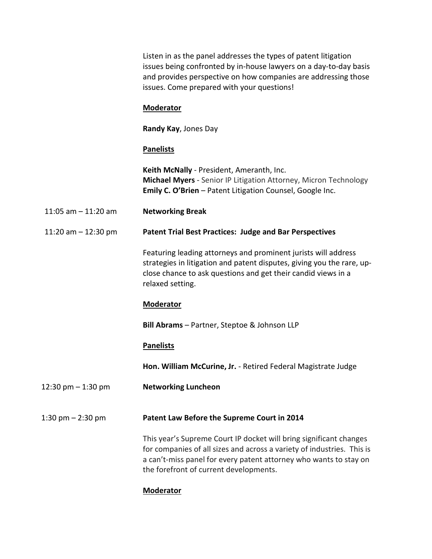Listen in as the panel addresses the types of patent litigation issues being confronted by in-house lawyers on a day-to-day basis and provides perspective on how companies are addressing those issues. Come prepared with your questions!

#### **Moderator**

**Randy Kay**, Jones Day

#### **Panelists**

**Keith McNally** - President, Ameranth, Inc. **Michael Myers** - Senior IP Litigation Attorney, Micron Technology **Emily C. O'Brien** – Patent Litigation Counsel, Google Inc.

- 11:05 am 11:20 am **Networking Break**
- 11:20 am 12:30 pm **Patent Trial Best Practices: Judge and Bar Perspectives**

Featuring leading attorneys and prominent jurists will address strategies in litigation and patent disputes, giving you the rare, upclose chance to ask questions and get their candid views in a relaxed setting.

#### **Moderator**

**Bill Abrams** – Partner, Steptoe & Johnson LLP

#### **Panelists**

**Hon. William McCurine, Jr.** - Retired Federal Magistrate Judge

12:30 pm – 1:30 pm **Networking Luncheon**

#### 1:30 pm – 2:30 pm **Patent Law Before the Supreme Court in 2014**

This year's Supreme Court IP docket will bring significant changes for companies of all sizes and across a variety of industries. This is a can't-miss panel for every patent attorney who wants to stay on the forefront of current developments.

#### **Moderator**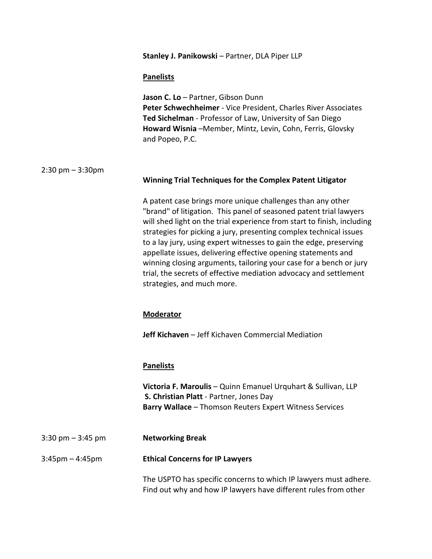**Stanley J. Panikowski** – Partner, DLA Piper LLP

#### **Panelists**

| Jason C. Lo - Partner, Gibson Dunn                               |
|------------------------------------------------------------------|
| Peter Schwechheimer - Vice President, Charles River Associates   |
| <b>Ted Sichelman</b> - Professor of Law, University of San Diego |
| Howard Wisnia -Member, Mintz, Levin, Cohn, Ferris, Glovsky       |
| and Popeo, P.C.                                                  |

#### 2:30 pm – 3:30pm

#### **Winning Trial Techniques for the Complex Patent Litigator**

A patent case brings more unique challenges than any other "brand" of litigation. This panel of seasoned patent trial lawyers will shed light on the trial experience from start to finish, including strategies for picking a jury, presenting complex technical issues to a lay jury, using expert witnesses to gain the edge, preserving appellate issues, delivering effective opening statements and winning closing arguments, tailoring your case for a bench or jury trial, the secrets of effective mediation advocacy and settlement strategies, and much more.

#### **Moderator**

**Jeff Kichaven** – Jeff Kichaven Commercial Mediation

#### **Panelists**

**Victoria F. Maroulis** – Quinn Emanuel Urquhart & Sullivan, LLP **S. Christian Platt** - Partner, Jones Day **Barry Wallace** – Thomson Reuters Expert Witness Services

3:30 pm – 3:45 pm **Networking Break**

#### 3:45pm – 4:45pm **Ethical Concerns for IP Lawyers**

The USPTO has specific concerns to which IP lawyers must adhere. Find out why and how IP lawyers have different rules from other